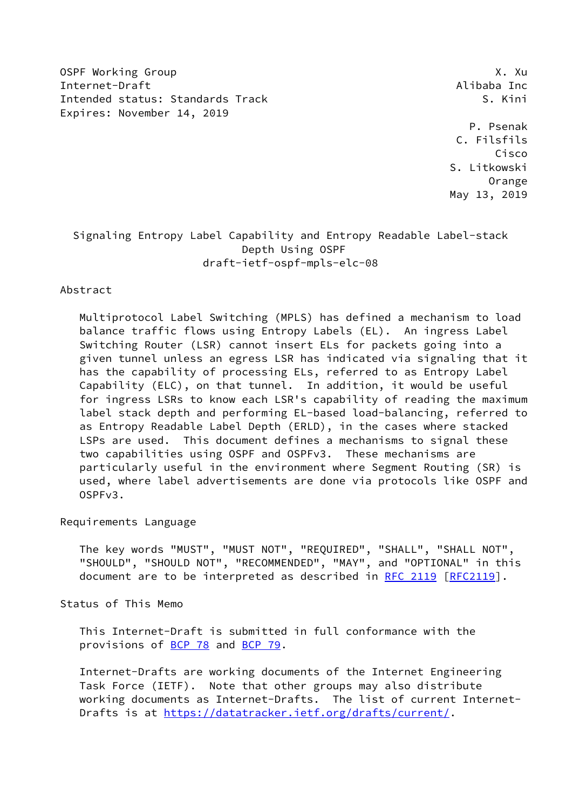OSPF Working Group **X. Authority Contract Contract Contract Contract Contract Contract Contract Contract Contract Contract Contract Contract Contract Contract Contract Contract Contract Contract Contract Contract Contract** Internet-Draft Alibaba Inc Intended status: Standards Track S. Kini Expires: November 14, 2019

 P. Psenak C. Filsfils Cisco S. Litkowski Orange May 13, 2019

## Signaling Entropy Label Capability and Entropy Readable Label-stack Depth Using OSPF draft-ietf-ospf-mpls-elc-08

### Abstract

 Multiprotocol Label Switching (MPLS) has defined a mechanism to load balance traffic flows using Entropy Labels (EL). An ingress Label Switching Router (LSR) cannot insert ELs for packets going into a given tunnel unless an egress LSR has indicated via signaling that it has the capability of processing ELs, referred to as Entropy Label Capability (ELC), on that tunnel. In addition, it would be useful for ingress LSRs to know each LSR's capability of reading the maximum label stack depth and performing EL-based load-balancing, referred to as Entropy Readable Label Depth (ERLD), in the cases where stacked LSPs are used. This document defines a mechanisms to signal these two capabilities using OSPF and OSPFv3. These mechanisms are particularly useful in the environment where Segment Routing (SR) is used, where label advertisements are done via protocols like OSPF and OSPFv3.

### Requirements Language

 The key words "MUST", "MUST NOT", "REQUIRED", "SHALL", "SHALL NOT", "SHOULD", "SHOULD NOT", "RECOMMENDED", "MAY", and "OPTIONAL" in this document are to be interpreted as described in [RFC 2119 \[RFC2119](https://datatracker.ietf.org/doc/pdf/rfc2119)].

Status of This Memo

 This Internet-Draft is submitted in full conformance with the provisions of [BCP 78](https://datatracker.ietf.org/doc/pdf/bcp78) and [BCP 79](https://datatracker.ietf.org/doc/pdf/bcp79).

 Internet-Drafts are working documents of the Internet Engineering Task Force (IETF). Note that other groups may also distribute working documents as Internet-Drafts. The list of current Internet Drafts is at<https://datatracker.ietf.org/drafts/current/>.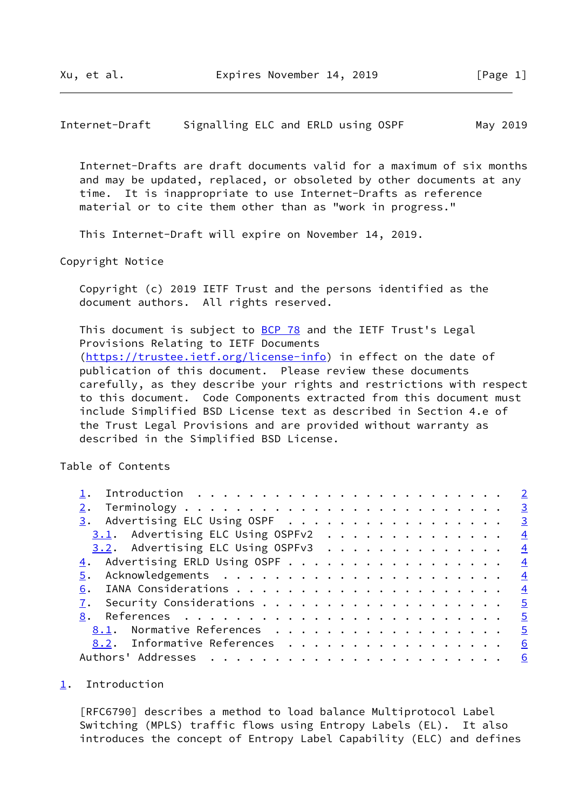<span id="page-1-1"></span>Internet-Draft Signalling ELC and ERLD using OSPF May 2019

 Internet-Drafts are draft documents valid for a maximum of six months and may be updated, replaced, or obsoleted by other documents at any time. It is inappropriate to use Internet-Drafts as reference material or to cite them other than as "work in progress."

This Internet-Draft will expire on November 14, 2019.

Copyright Notice

 Copyright (c) 2019 IETF Trust and the persons identified as the document authors. All rights reserved.

This document is subject to [BCP 78](https://datatracker.ietf.org/doc/pdf/bcp78) and the IETF Trust's Legal Provisions Relating to IETF Documents [\(https://trustee.ietf.org/license-info](https://trustee.ietf.org/license-info)) in effect on the date of publication of this document. Please review these documents carefully, as they describe your rights and restrictions with respect to this document. Code Components extracted from this document must include Simplified BSD License text as described in Section 4.e of the Trust Legal Provisions and are provided without warranty as described in the Simplified BSD License.

Table of Contents

| $\underline{3}$ . Advertising ELC Using OSPF | $\overline{\mathbf{3}}$ |
|----------------------------------------------|-------------------------|
| 3.1. Advertising ELC Using OSPFv2            | $\frac{4}{3}$           |
| 3.2. Advertising ELC Using OSPFv3            | $\frac{4}{3}$           |
|                                              | $\frac{4}{1}$           |
|                                              | $\overline{4}$          |
| 6.                                           | $\overline{4}$          |
|                                              | $\overline{5}$          |
|                                              | $\overline{5}$          |
| 8.1. Normative References                    | $\overline{5}$          |
| 8.2. Informative References                  | 6                       |
|                                              |                         |

#### <span id="page-1-0"></span>[1](#page-1-0). Introduction

 [RFC6790] describes a method to load balance Multiprotocol Label Switching (MPLS) traffic flows using Entropy Labels (EL). It also introduces the concept of Entropy Label Capability (ELC) and defines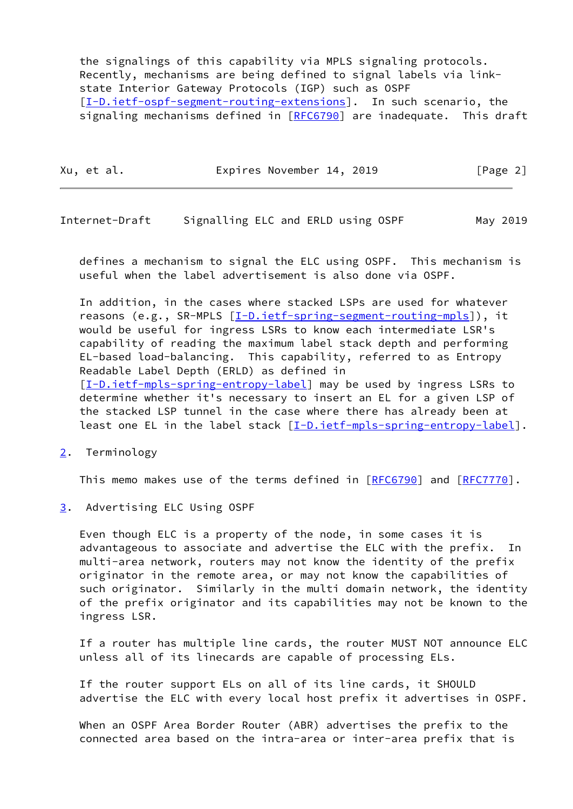the signalings of this capability via MPLS signaling protocols. Recently, mechanisms are being defined to signal labels via link state Interior Gateway Protocols (IGP) such as OSPF [\[I-D.ietf-ospf-segment-routing-extensions](#page-5-1)]. In such scenario, the signaling mechanisms defined in [\[RFC6790](https://datatracker.ietf.org/doc/pdf/rfc6790)] are inadequate. This draft

| Xu, et al. | Expires November 14, 2019 | [Page 2] |
|------------|---------------------------|----------|
|------------|---------------------------|----------|

<span id="page-2-1"></span>Internet-Draft Signalling ELC and ERLD using OSPF May 2019

 defines a mechanism to signal the ELC using OSPF. This mechanism is useful when the label advertisement is also done via OSPF.

 In addition, in the cases where stacked LSPs are used for whatever reasons (e.g., SR-MPLS [\[I-D.ietf-spring-segment-routing-mpls](#page-5-2)]), it would be useful for ingress LSRs to know each intermediate LSR's capability of reading the maximum label stack depth and performing EL-based load-balancing. This capability, referred to as Entropy Readable Label Depth (ERLD) as defined in [\[I-D.ietf-mpls-spring-entropy-label\]](#page-6-1) may be used by ingress LSRs to determine whether it's necessary to insert an EL for a given LSP of the stacked LSP tunnel in the case where there has already been at least one EL in the label stack [\[I-D.ietf-mpls-spring-entropy-label\]](#page-6-1).

<span id="page-2-0"></span>[2](#page-2-0). Terminology

This memo makes use of the terms defined in [\[RFC6790](https://datatracker.ietf.org/doc/pdf/rfc6790)] and [[RFC7770](https://datatracker.ietf.org/doc/pdf/rfc7770)].

<span id="page-2-2"></span>[3](#page-2-2). Advertising ELC Using OSPF

 Even though ELC is a property of the node, in some cases it is advantageous to associate and advertise the ELC with the prefix. In multi-area network, routers may not know the identity of the prefix originator in the remote area, or may not know the capabilities of such originator. Similarly in the multi domain network, the identity of the prefix originator and its capabilities may not be known to the ingress LSR.

 If a router has multiple line cards, the router MUST NOT announce ELC unless all of its linecards are capable of processing ELs.

 If the router support ELs on all of its line cards, it SHOULD advertise the ELC with every local host prefix it advertises in OSPF.

 When an OSPF Area Border Router (ABR) advertises the prefix to the connected area based on the intra-area or inter-area prefix that is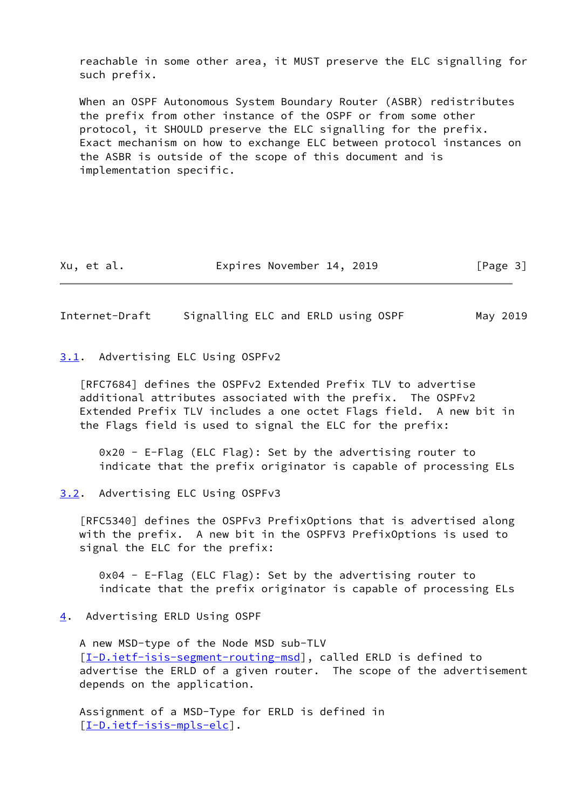reachable in some other area, it MUST preserve the ELC signalling for such prefix.

 When an OSPF Autonomous System Boundary Router (ASBR) redistributes the prefix from other instance of the OSPF or from some other protocol, it SHOULD preserve the ELC signalling for the prefix. Exact mechanism on how to exchange ELC between protocol instances on the ASBR is outside of the scope of this document and is implementation specific.

Xu, et al. Expires November 14, 2019 [Page 3]

<span id="page-3-1"></span>Internet-Draft Signalling ELC and ERLD using OSPF May 2019

<span id="page-3-0"></span>[3.1](#page-3-0). Advertising ELC Using OSPFv2

 [RFC7684] defines the OSPFv2 Extended Prefix TLV to advertise additional attributes associated with the prefix. The OSPFv2 Extended Prefix TLV includes a one octet Flags field. A new bit in the Flags field is used to signal the ELC for the prefix:

 0x20 - E-Flag (ELC Flag): Set by the advertising router to indicate that the prefix originator is capable of processing ELs

<span id="page-3-2"></span>[3.2](#page-3-2). Advertising ELC Using OSPFv3

 [RFC5340] defines the OSPFv3 PrefixOptions that is advertised along with the prefix. A new bit in the OSPFV3 PrefixOptions is used to signal the ELC for the prefix:

 0x04 - E-Flag (ELC Flag): Set by the advertising router to indicate that the prefix originator is capable of processing ELs

<span id="page-3-3"></span>[4](#page-3-3). Advertising ERLD Using OSPF

 A new MSD-type of the Node MSD sub-TLV [\[I-D.ietf-isis-segment-routing-msd](#page-4-6)], called ERLD is defined to advertise the ERLD of a given router. The scope of the advertisement depends on the application.

 Assignment of a MSD-Type for ERLD is defined in [\[I-D.ietf-isis-mpls-elc](#page-4-7)].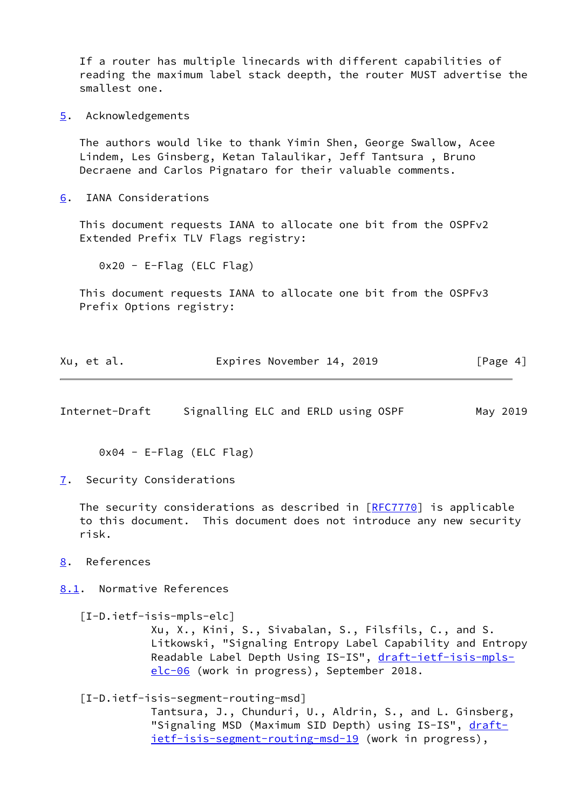If a router has multiple linecards with different capabilities of reading the maximum label stack deepth, the router MUST advertise the smallest one.

<span id="page-4-0"></span>[5](#page-4-0). Acknowledgements

 The authors would like to thank Yimin Shen, George Swallow, Acee Lindem, Les Ginsberg, Ketan Talaulikar, Jeff Tantsura , Bruno Decraene and Carlos Pignataro for their valuable comments.

<span id="page-4-1"></span>[6](#page-4-1). IANA Considerations

 This document requests IANA to allocate one bit from the OSPFv2 Extended Prefix TLV Flags registry:

0x20 - E-Flag (ELC Flag)

 This document requests IANA to allocate one bit from the OSPFv3 Prefix Options registry:

| Xu, et al. | Expires November 14, 2019 | [Page 4] |
|------------|---------------------------|----------|
|            |                           |          |

<span id="page-4-3"></span>Internet-Draft Signalling ELC and ERLD using OSPF May 2019

0x04 - E-Flag (ELC Flag)

<span id="page-4-2"></span>[7](#page-4-2). Security Considerations

The security considerations as described in [\[RFC7770](https://datatracker.ietf.org/doc/pdf/rfc7770)] is applicable to this document. This document does not introduce any new security risk.

<span id="page-4-4"></span>[8](#page-4-4). References

<span id="page-4-5"></span>[8.1](#page-4-5). Normative References

<span id="page-4-7"></span> [I-D.ietf-isis-mpls-elc] Xu, X., Kini, S., Sivabalan, S., Filsfils, C., and S. Litkowski, "Signaling Entropy Label Capability and Entropy Readable Label Depth Using IS-IS", [draft-ietf-isis-mpls](https://datatracker.ietf.org/doc/pdf/draft-ietf-isis-mpls-elc-06) [elc-06](https://datatracker.ietf.org/doc/pdf/draft-ietf-isis-mpls-elc-06) (work in progress), September 2018.

<span id="page-4-6"></span>[I-D.ietf-isis-segment-routing-msd]

 Tantsura, J., Chunduri, U., Aldrin, S., and L. Ginsberg, "Signaling MSD (Maximum SID Depth) using IS-IS", [draft](https://datatracker.ietf.org/doc/pdf/draft-ietf-isis-segment-routing-msd-19)[ietf-isis-segment-routing-msd-19](https://datatracker.ietf.org/doc/pdf/draft-ietf-isis-segment-routing-msd-19) (work in progress),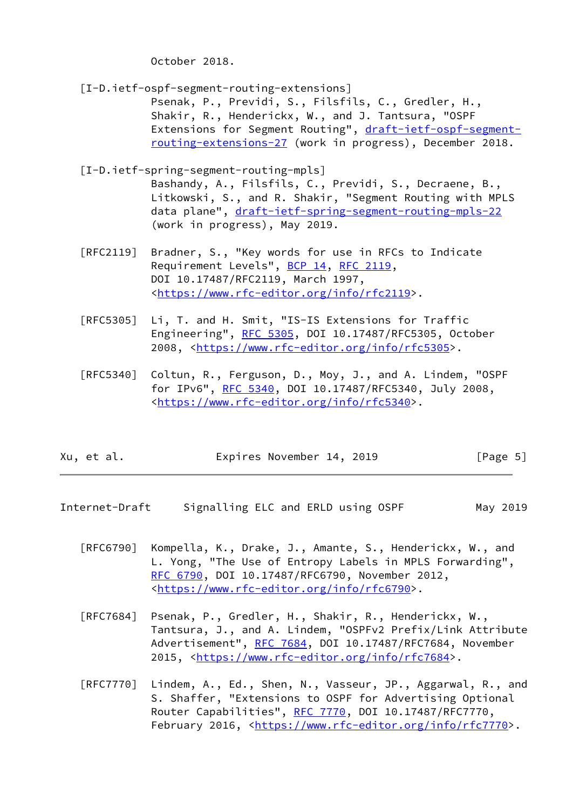October 2018.

<span id="page-5-1"></span>[I-D.ietf-ospf-segment-routing-extensions]

 Psenak, P., Previdi, S., Filsfils, C., Gredler, H., Shakir, R., Henderickx, W., and J. Tantsura, "OSPF Extensions for Segment Routing", [draft-ietf-ospf-segment](https://datatracker.ietf.org/doc/pdf/draft-ietf-ospf-segment-routing-extensions-27) [routing-extensions-27](https://datatracker.ietf.org/doc/pdf/draft-ietf-ospf-segment-routing-extensions-27) (work in progress), December 2018.

<span id="page-5-2"></span>[I-D.ietf-spring-segment-routing-mpls]

 Bashandy, A., Filsfils, C., Previdi, S., Decraene, B., Litkowski, S., and R. Shakir, "Segment Routing with MPLS data plane", [draft-ietf-spring-segment-routing-mpls-22](https://datatracker.ietf.org/doc/pdf/draft-ietf-spring-segment-routing-mpls-22) (work in progress), May 2019.

- [RFC2119] Bradner, S., "Key words for use in RFCs to Indicate Requirement Levels", [BCP 14](https://datatracker.ietf.org/doc/pdf/bcp14), [RFC 2119](https://datatracker.ietf.org/doc/pdf/rfc2119), DOI 10.17487/RFC2119, March 1997, <[https://www.rfc-editor.org/info/rfc2119>](https://www.rfc-editor.org/info/rfc2119).
- [RFC5305] Li, T. and H. Smit, "IS-IS Extensions for Traffic Engineering", [RFC 5305](https://datatracker.ietf.org/doc/pdf/rfc5305), DOI 10.17487/RFC5305, October 2008, [<https://www.rfc-editor.org/info/rfc5305](https://www.rfc-editor.org/info/rfc5305)>.
- [RFC5340] Coltun, R., Ferguson, D., Moy, J., and A. Lindem, "OSPF for IPv6", [RFC 5340](https://datatracker.ietf.org/doc/pdf/rfc5340), DOI 10.17487/RFC5340, July 2008, <[https://www.rfc-editor.org/info/rfc5340>](https://www.rfc-editor.org/info/rfc5340).

| Xu, et al. | Expires November 14, 2019 | [Page 5] |
|------------|---------------------------|----------|
|------------|---------------------------|----------|

- <span id="page-5-0"></span>Internet-Draft Signalling ELC and ERLD using OSPF May 2019
	- [RFC6790] Kompella, K., Drake, J., Amante, S., Henderickx, W., and L. Yong, "The Use of Entropy Labels in MPLS Forwarding", [RFC 6790,](https://datatracker.ietf.org/doc/pdf/rfc6790) DOI 10.17487/RFC6790, November 2012, <[https://www.rfc-editor.org/info/rfc6790>](https://www.rfc-editor.org/info/rfc6790).
	- [RFC7684] Psenak, P., Gredler, H., Shakir, R., Henderickx, W., Tantsura, J., and A. Lindem, "OSPFv2 Prefix/Link Attribute Advertisement", [RFC 7684,](https://datatracker.ietf.org/doc/pdf/rfc7684) DOI 10.17487/RFC7684, November 2015, [<https://www.rfc-editor.org/info/rfc7684](https://www.rfc-editor.org/info/rfc7684)>.
	- [RFC7770] Lindem, A., Ed., Shen, N., Vasseur, JP., Aggarwal, R., and S. Shaffer, "Extensions to OSPF for Advertising Optional Router Capabilities", [RFC 7770](https://datatracker.ietf.org/doc/pdf/rfc7770), DOI 10.17487/RFC7770, February 2016, <<https://www.rfc-editor.org/info/rfc7770>>.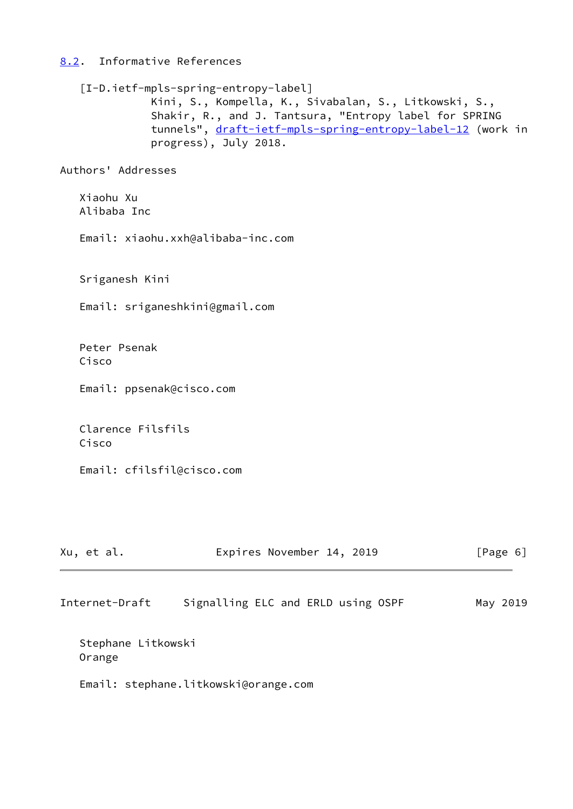# <span id="page-6-0"></span>[8.2](#page-6-0). Informative References

<span id="page-6-1"></span>

| [I-D.ietf-mpls-spring-entropy-label] | Kini, S., Kompella, K., Sivabalan, S., Litkowski, S.,<br>Shakir, R., and J. Tantsura, "Entropy label for SPRING<br>tunnels", draft-ietf-mpls-spring-entropy-label-12 (work in<br>progress), July 2018. |          |
|--------------------------------------|--------------------------------------------------------------------------------------------------------------------------------------------------------------------------------------------------------|----------|
| Authors' Addresses                   |                                                                                                                                                                                                        |          |
| Xiaohu Xu<br>Alibaba Inc             |                                                                                                                                                                                                        |          |
| Email: xiaohu.xxh@alibaba-inc.com    |                                                                                                                                                                                                        |          |
| Sriganesh Kini                       |                                                                                                                                                                                                        |          |
| Email: sriganeshkini@gmail.com       |                                                                                                                                                                                                        |          |
| Peter Psenak<br>Cisco                |                                                                                                                                                                                                        |          |
| Email: ppsenak@cisco.com             |                                                                                                                                                                                                        |          |
| Clarence Filsfils<br>Cisco           |                                                                                                                                                                                                        |          |
| Email: cfilsfil@cisco.com            |                                                                                                                                                                                                        |          |
|                                      |                                                                                                                                                                                                        |          |
| Xu, et al.                           | Expires November 14, 2019                                                                                                                                                                              | [Page 6] |

| Internet-Draft | Signalling ELC and ERLD using OSPF |  |  |  |  | May 2019 |
|----------------|------------------------------------|--|--|--|--|----------|
|----------------|------------------------------------|--|--|--|--|----------|

 Stephane Litkowski Orange

Email: stephane.litkowski@orange.com